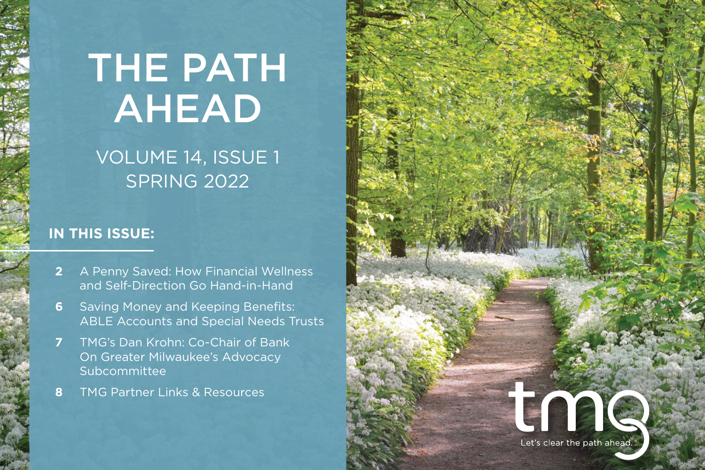# THE PATH AHEAD

# VOLUME 14, ISSUE 1 SPRING 2022

## **IN THIS ISSUE:**

- **[2](#page-1-0)** A Penny Saved: How Financial Wellness and Self-Direction Go Hand-in-Hand
- **6** Saving Money and Keeping Benefits: ABLE Accounts and Special Needs Trusts
- **[7](#page-5-0)** TMG's Dan Krohn: Co-Chair of Bank On Greater Milwaukee's Advocacy Subcommittee
- **8** TMG Partner Links & Resources

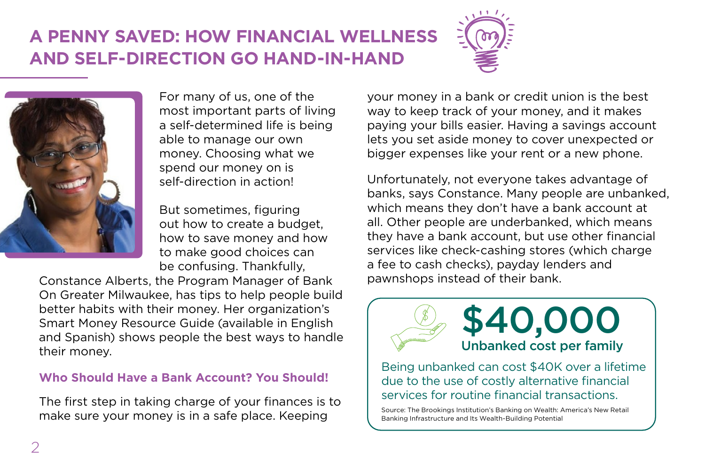# <span id="page-1-0"></span>**A PENNY SAVED: HOW FINANCIAL WELLNESS AND SELF-DIRECTION GO HAND-IN-HAND**





For many of us, one of the most important parts of living a self-determined life is being able to manage our own money. Choosing what we spend our money on is self-direction in action!

But sometimes, figuring out how to create a budget, how to save money and how to make good choices can be confusing. Thankfully,

Constance Alberts, the Program Manager of Bank On Greater Milwaukee, has tips to help people build better habits with their money. Her organization's Smart Money Resource Guide (available in English and Spanish) shows people the best ways to handle their money.

## **Who Should Have a Bank Account? You Should!**

The first step in taking charge of your finances is to make sure your money is in a safe place. Keeping

your money in a bank or credit union is the best way to keep track of your money, and it makes paying your bills easier. Having a savings account lets you set aside money to cover unexpected or bigger expenses like your rent or a new phone.

Unfortunately, not everyone takes advantage of banks, says Constance. Many people are unbanked, which means they don't have a bank account at all. Other people are underbanked, which means they have a bank account, but use other financial services like check-cashing stores (which charge a fee to cash checks), payday lenders and pawnshops instead of their bank.



Being unbanked can cost \$40K over a lifetime due to the use of costly alternative financial services for routine financial transactions.

Source: The Brookings Institution's Banking on Wealth: America's New Retail Banking Infrastructure and Its Wealth-Building Potential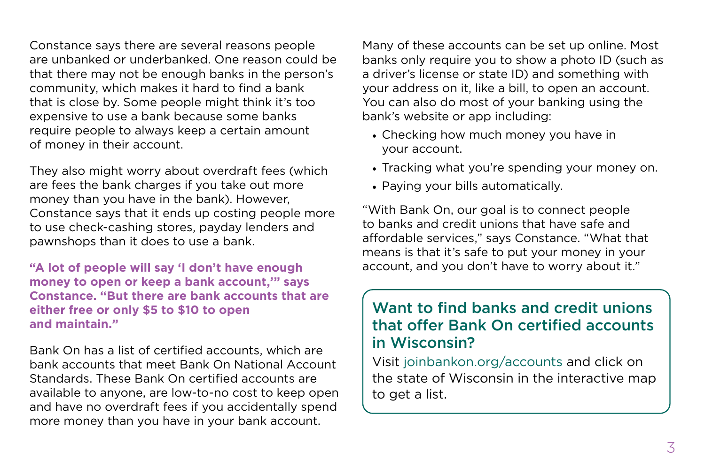Constance says there are several reasons people are unbanked or underbanked. One reason could be that there may not be enough banks in the person's community, which makes it hard to find a bank that is close by. Some people might think it's too expensive to use a bank because some banks require people to always keep a certain amount of money in their account.

They also might worry about overdraft fees (which are fees the bank charges if you take out more money than you have in the bank). However, Constance says that it ends up costing people more to use check-cashing stores, payday lenders and pawnshops than it does to use a bank.

**"A lot of people will say 'I don't have enough money to open or keep a bank account,'" says Constance. "But there are bank accounts that are either free or only \$5 to \$10 to open and maintain."**

Bank On has a list of certified accounts, which are bank accounts that meet Bank On National Account Standards. These Bank On certified accounts are available to anyone, are low-to-no cost to keep open and have no overdraft fees if you accidentally spend more money than you have in your bank account.

Many of these accounts can be set up online. Most banks only require you to show a photo ID (such as a driver's license or state ID) and something with your address on it, like a bill, to open an account. You can also do most of your banking using the bank's website or app including:

- Checking how much money you have in your account.
- Tracking what you're spending your money on.
- Paying your bills automatically.

"With Bank On, our goal is to connect people to banks and credit unions that have safe and affordable services," says Constance. "What that means is that it's safe to put your money in your account, and you don't have to worry about it."

## Want to find banks and credit unions that offer Bank On certified accounts in Wisconsin?

Visit [joinbankon.org/accounts](http://joinbankon.org/accounts) and click on the state of Wisconsin in the interactive map to get a list.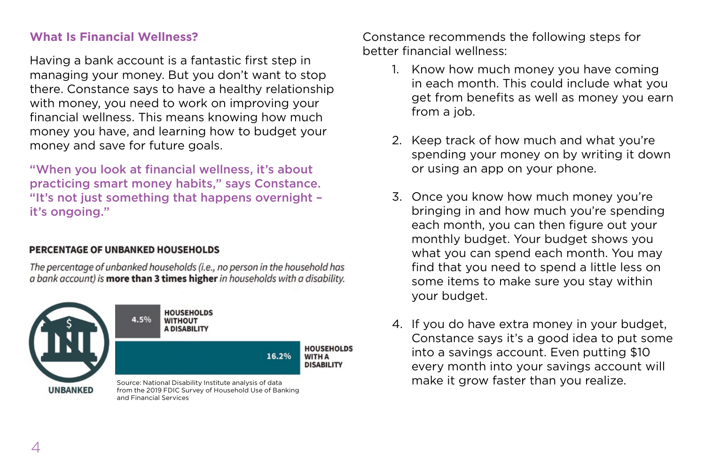#### **What Is Financial Wellness?**

Having a bank account is a fantastic first step in managing your money. But you don't want to stop there. Constance says to have a healthy relationship with money, you need to work on improving your financial wellness. This means knowing how much money you have, and learning how to budget your money and save for future goals.

"When you look at financial wellness, it's about practicing smart money habits," says Constance. "It's not just something that happens overnight – it's ongoing."

#### PERCENTAGE OF UNBANKED HOUSEHOLDS

The percentage of unbanked households (i.e., no person in the household has a bank account) is more than 3 times higher in households with a disability.



Constance recommends the following steps for better financial wellness:

- 1. Know how much money you have coming in each month. This could include what you get from benefits as well as money you earn from a job.
- 2. Keep track of how much and what you're spending your money on by writing it down or using an app on your phone.
- 3. Once you know how much money you're bringing in and how much you're spending each month, you can then figure out your monthly budget. Your budget shows you what you can spend each month. You may find that you need to spend a little less on some items to make sure you stay within your budget.
- 4. If you do have extra money in your budget, Constance says it's a good idea to put some into a savings account. Even putting \$10 every month into your savings account will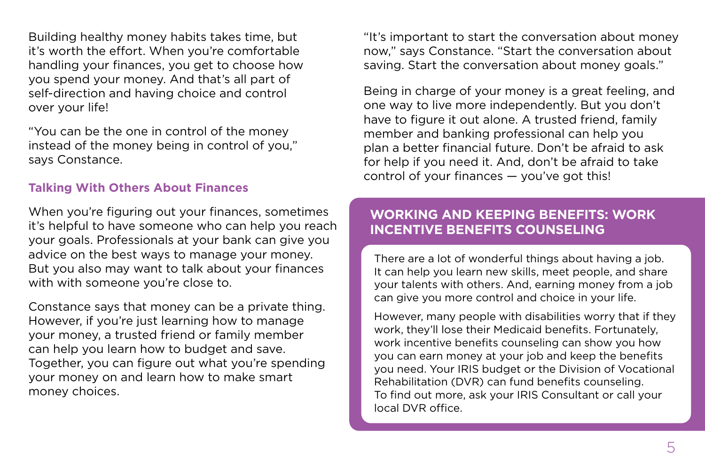Building healthy money habits takes time, but it's worth the effort. When you're comfortable handling your finances, you get to choose how you spend your money. And that's all part of self-direction and having choice and control over your life!

"You can be the one in control of the money instead of the money being in control of you," says Constance.

#### **Talking With Others About Finances**

When you're figuring out your finances, sometimes it's helpful to have someone who can help you reach your goals. Professionals at your bank can give you advice on the best ways to manage your money. But you also may want to talk about your finances with with someone you're close to.

Constance says that money can be a private thing. However, if you're just learning how to manage your money, a trusted friend or family member can help you learn how to budget and save. Together, you can figure out what you're spending your money on and learn how to make smart money choices.

"It's important to start the conversation about money now," says Constance. "Start the conversation about saving. Start the conversation about money goals."

Being in charge of your money is a great feeling, and one way to live more independently. But you don't have to figure it out alone. A trusted friend, family member and banking professional can help you plan a better financial future. Don't be afraid to ask for help if you need it. And, don't be afraid to take control of your finances — you've got this!

## **WORKING AND KEEPING BENEFITS: WORK INCENTIVE BENEFITS COUNSELING**

There are a lot of wonderful things about having a job. It can help you learn new skills, meet people, and share your talents with others. And, earning money from a job can give you more control and choice in your life.

However, many people with disabilities worry that if they work, they'll lose their Medicaid benefits. Fortunately, work incentive benefits counseling can show you how you can earn money at your job and keep the benefits you need. Your IRIS budget or the Division of Vocational Rehabilitation (DVR) can fund benefits counseling. To find out more, ask your IRIS Consultant or call your local DVR office.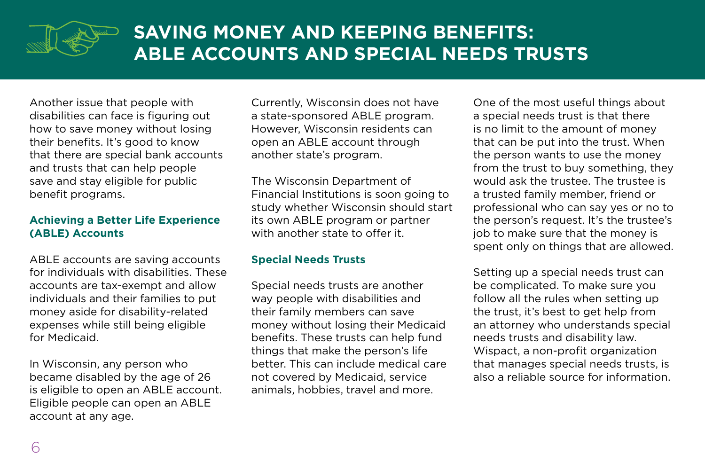<span id="page-5-0"></span>

# **SAVING MONEY AND KEEPING BENEFITS: ABLE ACCOUNTS AND SPECIAL NEEDS TRUSTS**

Another issue that people with disabilities can face is figuring out how to save money without losing their benefits. It's good to know that there are special bank accounts and trusts that can help people save and stay eligible for public benefit programs.

#### **Achieving a Better Life Experience (ABLE) Accounts**

ABLE accounts are saving accounts for individuals with disabilities. These accounts are tax-exempt and allow individuals and their families to put money aside for disability-related expenses while still being eligible for Medicaid.

In Wisconsin, any person who became disabled by the age of 26 is eligible to open an ABLE account. Eligible people can open an ABLE account at any age.

Currently, Wisconsin does not have a state-sponsored ABLE program. However, Wisconsin residents can open an ABLE account through another state's program.

The Wisconsin Department of Financial Institutions is soon going to study whether Wisconsin should start its own ABLE program or partner with another state to offer it.

#### **Special Needs Trusts**

Special needs trusts are another way people with disabilities and their family members can save money without losing their Medicaid benefits. These trusts can help fund things that make the person's life better. This can include medical care not covered by Medicaid, service animals, hobbies, travel and more.

One of the most useful things about a special needs trust is that there is no limit to the amount of money that can be put into the trust. When the person wants to use the money from the trust to buy something, they would ask the trustee. The trustee is a trusted family member, friend or professional who can say yes or no to the person's request. It's the trustee's job to make sure that the money is spent only on things that are allowed.

Setting up a special needs trust can be complicated. To make sure you follow all the rules when setting up the trust, it's best to get help from an attorney who understands special needs trusts and disability law. Wispact, a non-profit organization that manages special needs trusts, is also a reliable source for information.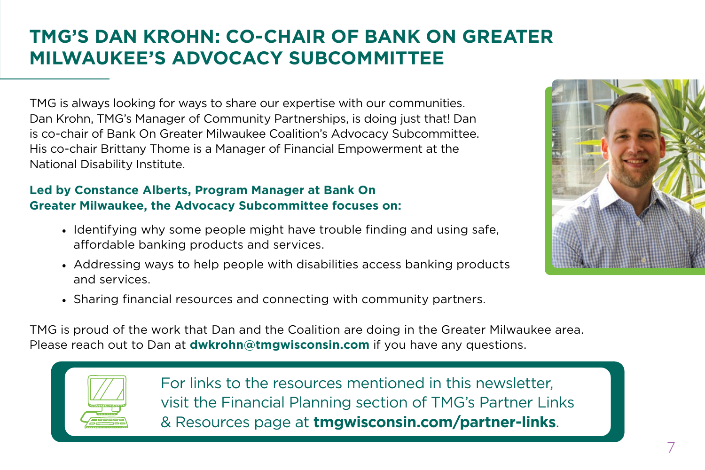# **TMG'S DAN KROHN: CO-CHAIR OF BANK ON GREATER MILWAUKEE'S ADVOCACY SUBCOMMITTEE**

TMG is always looking for ways to share our expertise with our communities. Dan Krohn, TMG's Manager of Community Partnerships, is doing just that! Dan is co-chair of Bank On Greater Milwaukee Coalition's Advocacy Subcommittee. His co-chair Brittany Thome is a Manager of Financial Empowerment at the National Disability Institute.

## **Led by Constance Alberts, Program Manager at Bank On Greater Milwaukee, the Advocacy Subcommittee focuses on:**

- Identifying why some people might have trouble finding and using safe, affordable banking products and services.
- Addressing ways to help people with disabilities access banking products and services.



• Sharing financial resources and connecting with community partners.

TMG is proud of the work that Dan and the Coalition are doing in the Greater Milwaukee area. Please reach out to Dan at **dwkrohn@tmgwisconsin.com** if you have any questions.



For links to the resources mentioned in this newsletter, visit the Financial Planning section of TMG's Partner Links & Resources page at **[tmgwisconsin.com/partner-links](http://tmgwisconsin.com/partner-links)**.